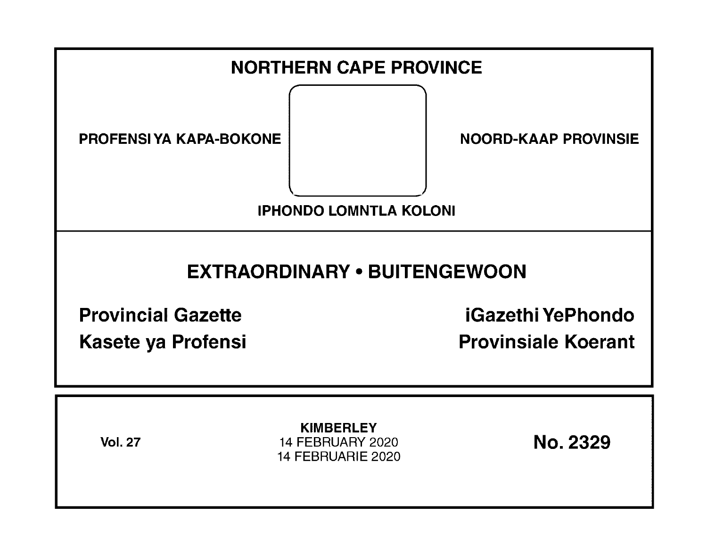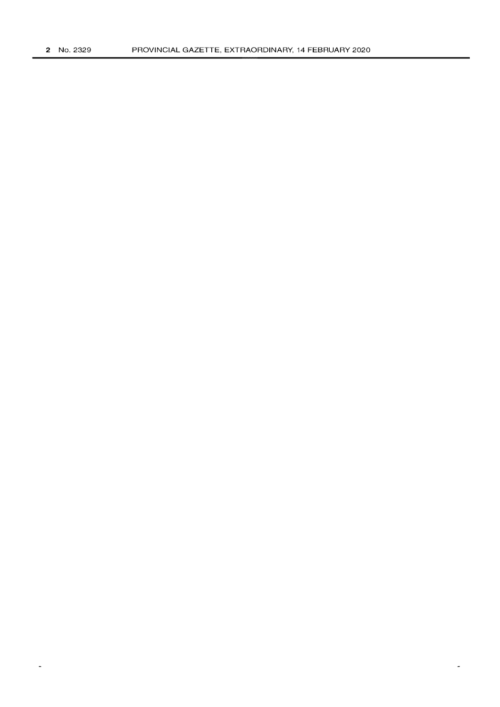$\ddot{\phantom{a}}$ 

 $\tilde{\phantom{a}}$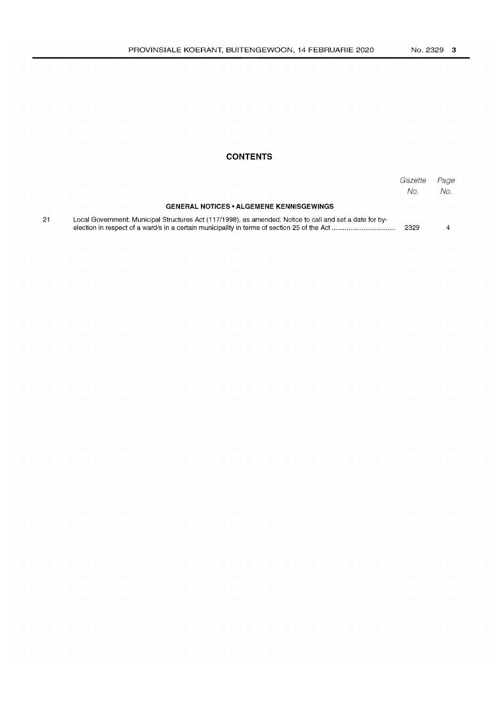## **CONTENTS**

|                                                                                                          | Gazette<br>No. | Page<br>No. |
|----------------------------------------------------------------------------------------------------------|----------------|-------------|
| <b>GENERAL NOTICES • ALGEMENE KENNISGEWINGS</b>                                                          |                |             |
| Local Government: Municipal Structures Act (117/1998), as amended: Notice to call and set a date for by- | 2329           |             |